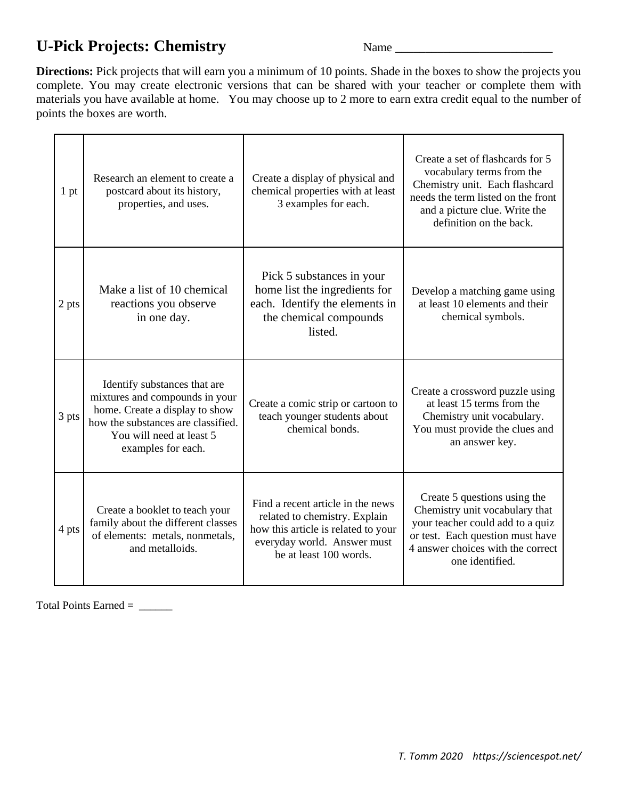## U-Pick Projects: Chemistry Name Name Name 2014

**Directions:** Pick projects that will earn you a minimum of 10 points. Shade in the boxes to show the projects you complete. You may create electronic versions that can be shared with your teacher or complete them with materials you have available at home. You may choose up to 2 more to earn extra credit equal to the number of points the boxes are worth.

| 1 <sub>pt</sub> | Research an element to create a<br>postcard about its history,<br>properties, and uses.                                                                                                  | Create a display of physical and<br>chemical properties with at least<br>3 examples for each.                                                                      | Create a set of flashcards for 5<br>vocabulary terms from the<br>Chemistry unit. Each flashcard<br>needs the term listed on the front<br>and a picture clue. Write the<br>definition on the back. |
|-----------------|------------------------------------------------------------------------------------------------------------------------------------------------------------------------------------------|--------------------------------------------------------------------------------------------------------------------------------------------------------------------|---------------------------------------------------------------------------------------------------------------------------------------------------------------------------------------------------|
| 2 pts           | Make a list of 10 chemical<br>reactions you observe<br>in one day.                                                                                                                       | Pick 5 substances in your<br>home list the ingredients for<br>each. Identify the elements in<br>the chemical compounds<br>listed.                                  | Develop a matching game using<br>at least 10 elements and their<br>chemical symbols.                                                                                                              |
| 3 pts           | Identify substances that are<br>mixtures and compounds in your<br>home. Create a display to show<br>how the substances are classified.<br>You will need at least 5<br>examples for each. | Create a comic strip or cartoon to<br>teach younger students about<br>chemical bonds.                                                                              | Create a crossword puzzle using<br>at least 15 terms from the<br>Chemistry unit vocabulary.<br>You must provide the clues and<br>an answer key.                                                   |
| 4 pts           | Create a booklet to teach your<br>family about the different classes<br>of elements: metals, nonmetals,<br>and metalloids.                                                               | Find a recent article in the news<br>related to chemistry. Explain<br>how this article is related to your<br>everyday world. Answer must<br>be at least 100 words. | Create 5 questions using the<br>Chemistry unit vocabulary that<br>your teacher could add to a quiz<br>or test. Each question must have<br>4 answer choices with the correct<br>one identified.    |

Total Points Earned = \_\_\_\_\_\_